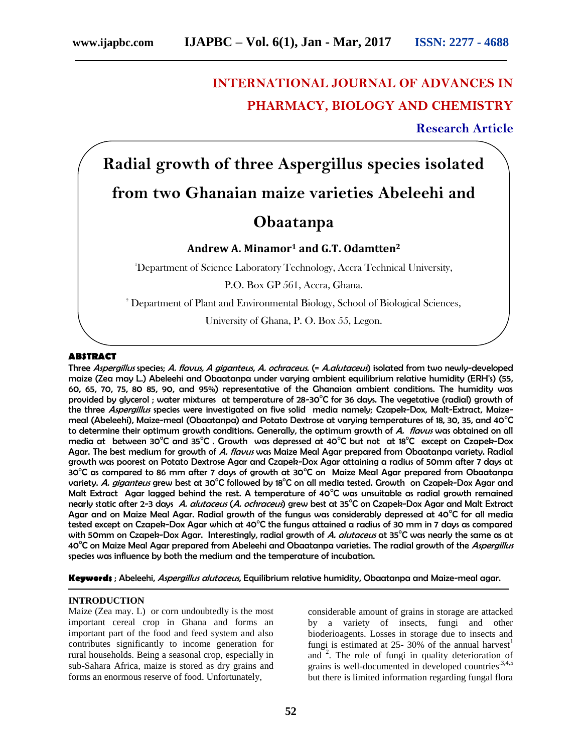# **INTERNATIONAL JOURNAL OF ADVANCES IN PHARMACY, BIOLOGY AND CHEMISTRY**

**Research Article**

**Radial growth of three Aspergillus species isolated** 

## **from two Ghanaian maize varieties Abeleehi and**

## **Obaatanpa**

**Andrew A. Minamor<sup>1</sup> and G.T. Odamtten<sup>2</sup>**

<sup>1</sup>Department of Science Laboratory Technology, Accra Technical University,

P.O. Box GP 561, Accra, Ghana.

<sup>2</sup> Department of Plant and Environmental Biology, School of Biological Sciences,

University of Ghana, P. O. Box 55, Legon.

#### **ABSTRACT**

Three Aspergillus species; A. flavus, A giganteus, A. ochraceus. (= A.alutaceus) isolated from two newly-developed maize (Zea may L.) Abeleehi and Obaatanpa under varying ambient equilibrium relative humidity (ERH's) (55, 60, 65, 70, 75, 80 85, 90, and 95%) representative of the Ghanaian ambient conditions. The humidity was provided by glycerol ; water mixtures  $\,$  at temperature of 28-30°C for 36 days. The vegetative (radial) growth of the three Aspergillus species were investigated on five solid media namely; Czapek-Dox, Malt-Extract, Maizemeal (Abeleehi), Maize-meal (Obaatanpa) and Potato Dextrose at varying temperatures of 18, 30, 35, and 40°C to determine their optimum growth conditions. Generally, the optimum growth of A. flavus was obtained on all media at between 30°C and 35°C. Growth was depressed at 40°C but not at 18°C except on Czapek-Dox Agar. The best medium for growth of A. flavus was Maize Meal Agar prepared from Obaatanpa variety. Radial growth was poorest on Potato Dextrose Agar and Czapek-Dox Agar attaining a radius of 50mm after 7 days at  $30^{\circ}$ C as compared to 86 mm after 7 days of growth at 30 $^{\circ}$ C on Maize Meal Agar prepared from Obaatanpa variety. A. giganteus grew best at 30°C followed by 18°C on all media tested. Growth on Czapek-Dox Agar and Malt Extract Agar lagged behind the rest. A temperature of 40°C was unsuitable as radial growth remained nearly static after 2-3 days *A. alutaceus (A. ochraceus*) grew best at 35°C on Czapek-Dox Agar and Malt Extract Agar and on Maize Meal Agar. Radial growth of the fungus was considerably depressed at 40°C for all media tested except on Czapek-Dox Agar which at 40 $^\circ$ C the fungus attained a radius of 30 mm in 7 days as compared with 50mm on Czapek-Dox Agar. Interestingly, radial growth of *A. alutaceus* at 35°C was nearly the same as at 40°C on Maize Meal Agar prepared from Abeleehi and Obaatanpa varieties. The radial growth of the *Aspergillus* species was influence by both the medium and the temperature of incubation.

**Keywords** ; Abeleehi, Aspergillus alutaceus, Equilibrium relative humidity, Obaatanpa and Maize-meal agar.

## **INTRODUCTION**

Maize (Zea may. L) or corn undoubtedly is the most important cereal crop in Ghana and forms an important part of the food and feed system and also contributes significantly to income generation for rural households. Being a seasonal crop, especially in sub-Sahara Africa, maize is stored as dry grains and forms an enormous reserve of food. Unfortunately,

considerable amount of grains in storage are attacked by a variety of insects, fungi and other bioderioagents. Losses in storage due to insects and fungi is estimated at 25- 30% of the annual harvest<sup>1</sup> and  $2$ . The role of fungi in quality deterioration of grains is well-documented in developed countries<sup>3,4,5</sup> but there is limited information regarding fungal flora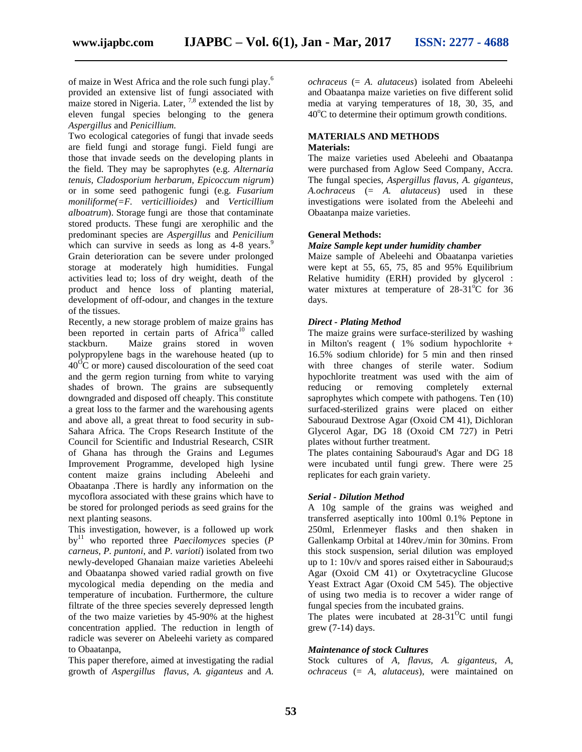of maize in West Africa and the role such fungi play.<sup>6</sup> provided an extensive list of fungi associated with maize stored in Nigeria. Later,  $7.8$  extended the list by eleven fungal species belonging to the genera *Aspergillus* and *Penicillium.*

Two ecological categories of fungi that invade seeds are field fungi and storage fungi. Field fungi are those that invade seeds on the developing plants in the field. They may be saprophytes (e.g. *Alternaria tenuis, Cladosporium herbarum, Epicoccum nigrum*) or in some seed pathogenic fungi (e.g*. Fusarium moniliforme(=F. verticillioides)* and *Verticillium alboatrum*). Storage fungi are those that contaminate stored products. These fungi are xerophilic and the predominant species are *Aspergillus* and *Penicilium* which can survive in seeds as long as 4-8 years.<sup>9</sup> Grain deterioration can be severe under prolonged storage at moderately high humidities. Fungal activities lead to; loss of dry weight, death of the product and hence loss of planting material, development of off-odour, and changes in the texture of the tissues.

Recently, a new storage problem of maize grains has been reported in certain parts of  $A$ frica<sup>10</sup> called stackburn. Maize grains stored in woven polypropylene bags in the warehouse heated (up to  $40^{\circ}$ C or more) caused discolouration of the seed coat and the germ region turning from white to varying shades of brown. The grains are subsequently downgraded and disposed off cheaply. This constitute a great loss to the farmer and the warehousing agents and above all, a great threat to food security in sub-Sahara Africa. The Crops Research Institute of the Council for Scientific and Industrial Research, CSIR of Ghana has through the Grains and Legumes Improvement Programme, developed high lysine content maize grains including Abeleehi and Obaatanpa .There is hardly any information on the mycoflora associated with these grains which have to be stored for prolonged periods as seed grains for the next planting seasons.

This investigation, however, is a followed up work by<sup>11</sup> who reported three *Paecilomyces* species (*P carneus, P. puntoni*, and *P. varioti*) isolated from two newly-developed Ghanaian maize varieties Abeleehi and Obaatanpa showed varied radial growth on five mycological media depending on the media and temperature of incubation. Furthermore, the culture filtrate of the three species severely depressed length of the two maize varieties by 45-90% at the highest concentration applied. The reduction in length of radicle was severer on Abeleehi variety as compared to Obaatanpa,

This paper therefore, aimed at investigating the radial growth of *Aspergillus flavus*, *A. giganteus* and *A.* *ochraceus* (= *A. alutaceus*) isolated from Abeleehi and Obaatanpa maize varieties on five different solid media at varying temperatures of 18, 30, 35, and  $40^{\circ}$ C to determine their optimum growth conditions.

#### **MATERIALS AND METHODS Materials:**

The maize varieties used Abeleehi and Obaatanpa were purchased from Aglow Seed Company, Accra. The fungal species, *Aspergillus flavus*, *A. giganteus*, *A.ochraceus* (= *A. alutaceus*) used in these investigations were isolated from the Abeleehi and Obaatanpa maize varieties.

## **General Methods:**

#### *Maize Sample kept under humidity chamber*

Maize sample of Abeleehi and Obaatanpa varieties were kept at 55, 65, 75, 85 and 95% Equilibrium Relative humidity (ERH) provided by glycerol : water mixtures at temperature of  $28-31^{\circ}$ C for 36 days.

#### *Direct - Plating Method*

The maize grains were surface-sterilized by washing in Milton's reagent ( 1% sodium hypochlorite + 16.5% sodium chloride) for 5 min and then rinsed with three changes of sterile water. Sodium hypochlorite treatment was used with the aim of reducing or removing completely external saprophytes which compete with pathogens. Ten (10) surfaced-sterilized grains were placed on either Sabouraud Dextrose Agar (Oxoid CM 41), Dichloran Glycerol Agar, DG 18 (Oxoid CM 727) in Petri plates without further treatment.

The plates containing Sabouraud's Agar and DG 18 were incubated until fungi grew. There were 25 replicates for each grain variety.

#### *Serial - Dilution Method*

A 10g sample of the grains was weighed and transferred aseptically into 100ml 0.1% Peptone in 250ml, Erlenmeyer flasks and then shaken in Gallenkamp Orbital at 140rev./min for 30mins. From this stock suspension, serial dilution was employed up to 1: 10v/v and spores raised either in Sabouraud;s Agar (Oxoid CM 41) or Oxytetracycline Glucose Yeast Extract Agar (Oxoid CM 545). The objective of using two media is to recover a wider range of fungal species from the incubated grains.

The plates were incubated at  $28-31^{\circ}$ C until fungi grew (7-14) days.

## *Maintenance of stock Cultures*

Stock cultures of *A, flavus, A. giganteus, A, ochraceus* (= *A, alutaceus*), were maintained on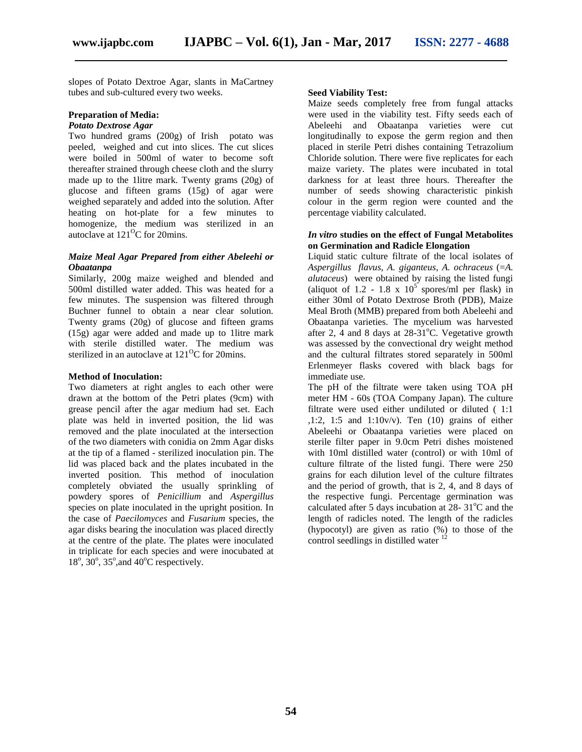slopes of Potato Dextroe Agar, slants in MaCartney tubes and sub-cultured every two weeks.

## **Preparation of Media:**

#### *Potato Dextrose Agar*

Two hundred grams (200g) of Irish potato was peeled, weighed and cut into slices. The cut slices were boiled in 500ml of water to become soft thereafter strained through cheese cloth and the slurry made up to the 1litre mark. Twenty grams (20g) of glucose and fifteen grams (15g) of agar were weighed separately and added into the solution. After heating on hot-plate for a few minutes to homogenize, the medium was sterilized in an autoclave at  $121^{\circ}$ C for 20mins.

#### *Maize Meal Agar Prepared from either Abeleehi or Obaatanpa*

Similarly, 200g maize weighed and blended and 500ml distilled water added. This was heated for a few minutes. The suspension was filtered through Buchner funnel to obtain a near clear solution. Twenty grams (20g) of glucose and fifteen grams (15g) agar were added and made up to 1litre mark with sterile distilled water. The medium was sterilized in an autoclave at  $121^{\circ}$ C for 20mins.

#### **Method of Inoculation:**

Two diameters at right angles to each other were drawn at the bottom of the Petri plates (9cm) with grease pencil after the agar medium had set. Each plate was held in inverted position, the lid was removed and the plate inoculated at the intersection of the two diameters with conidia on 2mm Agar disks at the tip of a flamed - sterilized inoculation pin. The lid was placed back and the plates incubated in the inverted position. This method of inoculation completely obviated the usually sprinkling of powdery spores of *Penicillium* and *Aspergillus* species on plate inoculated in the upright position. In the case of *Paecilomyces* and *Fusarium* species, the agar disks bearing the inoculation was placed directly at the centre of the plate. The plates were inoculated in triplicate for each species and were inocubated at  $18^\circ$ ,  $30^\circ$ ,  $35^\circ$ , and  $40^\circ$ C respectively.

#### **Seed Viability Test:**

Maize seeds completely free from fungal attacks were used in the viability test. Fifty seeds each of Abeleehi and Obaatanpa varieties were cut longitudinally to expose the germ region and then placed in sterile Petri dishes containing Tetrazolium Chloride solution. There were five replicates for each maize variety. The plates were incubated in total darkness for at least three hours. Thereafter the number of seeds showing characteristic pinkish colour in the germ region were counted and the percentage viability calculated.

#### *In vitro* **studies on the effect of Fungal Metabolites on Germination and Radicle Elongation**

Liquid static culture filtrate of the local isolates of *Aspergillus flavus*, *A. giganteus*, *A. ochraceus* (=*A. alutaceus*) were obtained by raising the listed fungi (aliquot of 1.2 - 1.8 x  $10^{5}$  spores/ml per flask) in either 30ml of Potato Dextrose Broth (PDB), Maize Meal Broth (MMB) prepared from both Abeleehi and Obaatanpa varieties. The mycelium was harvested after 2, 4 and 8 days at  $28-31^{\circ}$ C. Vegetative growth was assessed by the convectional dry weight method and the cultural filtrates stored separately in 500ml Erlenmeyer flasks covered with black bags for immediate use.

The pH of the filtrate were taken using TOA pH meter HM - 60s (TOA Company Japan). The culture filtrate were used either undiluted or diluted ( 1:1 ,1:2, 1:5 and 1:10 $v/v$ ). Ten (10) grains of either Abeleehi or Obaatanpa varieties were placed on sterile filter paper in 9.0cm Petri dishes moistened with 10ml distilled water (control) or with 10ml of culture filtrate of the listed fungi. There were 250 grains for each dilution level of the culture filtrates and the period of growth, that is 2, 4, and 8 days of the respective fungi. Percentage germination was calculated after 5 days incubation at  $28-31^{\circ}$ C and the length of radicles noted. The length of the radicles (hypocotyl) are given as ratio (%) to those of the control seedlings in distilled water  $12$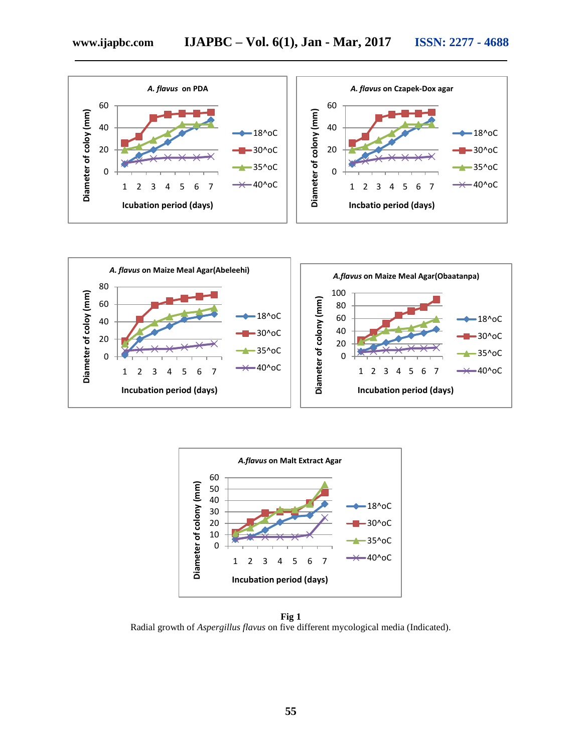







**Fig 1** Radial growth of *Aspergillus flavus* on five different mycological media (Indicated).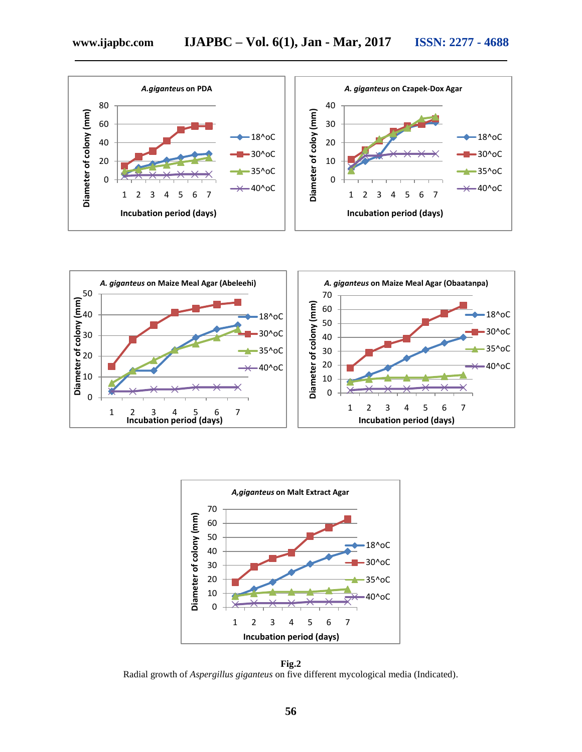





**Fig.2** Radial growth of *Aspergillus giganteus* on five different mycological media (Indicated).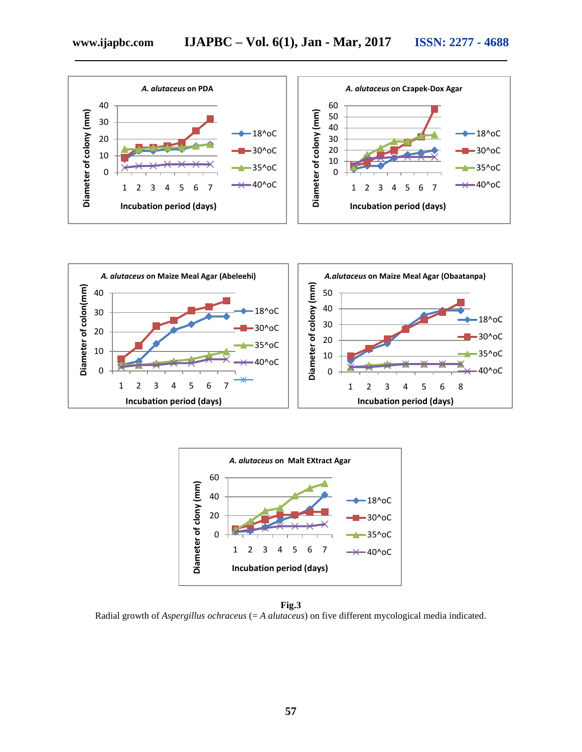







Radial growth of *Aspergillus ochraceus* (= *A alutaceus*) on five different mycological media indicated.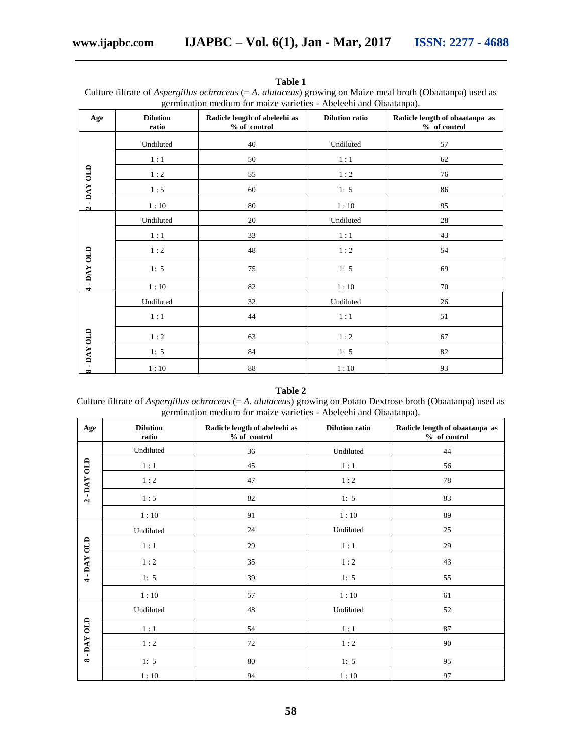| germination medium for marze varieties - Abeleem and Obaatanpa). |                          |                                                  |                       |                                                   |  |  |
|------------------------------------------------------------------|--------------------------|--------------------------------------------------|-----------------------|---------------------------------------------------|--|--|
| Age                                                              | <b>Dilution</b><br>ratio | Radicle length of abeleehi as<br>$\%$ of control | <b>Dilution ratio</b> | Radicle length of obaatanpa as<br>$\%$ of control |  |  |
| -DAY OLD<br>$\mathbf{a}$                                         | Undiluted                | 40                                               | Undiluted             | 57                                                |  |  |
|                                                                  | 1:1                      | 50                                               | 1:1                   | 62                                                |  |  |
|                                                                  | 1:2                      | 55                                               | 1:2                   | 76                                                |  |  |
|                                                                  | 1:5                      | 60                                               | 1: 5                  | 86                                                |  |  |
|                                                                  | 1:10                     | 80                                               | 1:10                  | 95                                                |  |  |
| -DAY OLD<br>$\blacktriangledown$                                 | Undiluted                | 20                                               | Undiluted             | 28                                                |  |  |
|                                                                  | 1:1                      | 33                                               | 1:1                   | 43                                                |  |  |
|                                                                  | 1:2                      | 48                                               | $1:2$                 | 54                                                |  |  |
|                                                                  | 1: 5                     | 75                                               | 1: 5                  | 69                                                |  |  |
|                                                                  | 1:10                     | $82\,$                                           | 1:10                  | 70                                                |  |  |
| -DAY OLD<br>$\infty$                                             | Undiluted                | 32                                               | Undiluted             | 26                                                |  |  |
|                                                                  | 1:1                      | 44                                               | 1:1                   | 51                                                |  |  |
|                                                                  | $1:2$                    | 63                                               | 1:2                   | 67                                                |  |  |
|                                                                  | 1: 5                     | 84                                               | 1: 5                  | 82                                                |  |  |
|                                                                  | 1:10                     | 88                                               | 1:10                  | 93                                                |  |  |

## **Table 1**

Culture filtrate of *Aspergillus ochraceus* (= *A. alutaceus*) growing on Maize meal broth (Obaatanpa) used as germination medium for maize varieties - Abeleehi and Obaatanpa).

#### **Table 2**

Culture filtrate of *Aspergillus ochraceus* (= *A. alutaceus*) growing on Potato Dextrose broth (Obaatanpa) used as germination medium for maize varieties - Abeleehi and Obaatanpa).

| Age                  | <b>Dilution</b><br>ratio | Radicle length of abeleehi as<br>% of control | <b>Dilution ratio</b> | Radicle length of obaatanpa as<br>$%$ of control |
|----------------------|--------------------------|-----------------------------------------------|-----------------------|--------------------------------------------------|
| 2-DAYOLD             | Undiluted                | 36                                            | Undiluted             | 44                                               |
|                      | $1\,\colon 1$            | 45                                            | $1:1$                 | 56                                               |
|                      | $1:2$                    | $47\,$                                        | 1:2                   | 78                                               |
|                      | $1:5$                    | 82                                            | 1: 5                  | 83                                               |
|                      | $1\,\colon 10$           | 91                                            | $1\,\colon 10$        | 89                                               |
| 4-DAYOLD             | Undiluted                | $24\,$                                        | Undiluted             | 25                                               |
|                      | 1:1                      | 29                                            | $1:1$                 | 29                                               |
|                      | $1\,\colon\!2$           | 35                                            | $1\,\colon 2$         | 43                                               |
|                      | 1: 5                     | 39                                            | 1: 5                  | 55                                               |
|                      | $1\,\colon 10$           | 57                                            | $1:10$                | 61                                               |
| -DAY OLD<br>$\infty$ | Undiluted                | 48                                            | Undiluted             | $52\,$                                           |
|                      | $1\,:\,1$                | 54                                            | $1\,\colon 1$         | 87                                               |
|                      | $1\,\colon\!2$           | $72\,$                                        | $1\,\colon 2$         | 90                                               |
|                      | 1: 5                     | $80\,$                                        | 1: 5                  | 95                                               |
|                      | $1\div 10$               | 94                                            | $1\,\colon 10$        | 97                                               |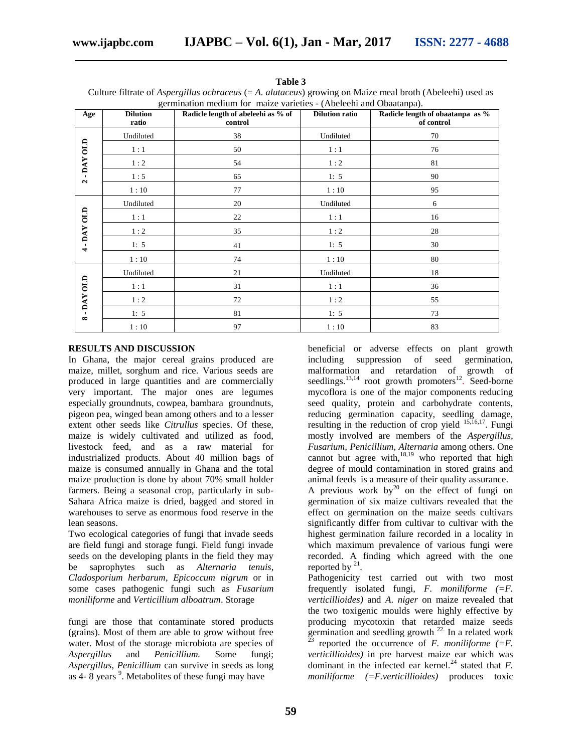| germination medium for maize varieties - (Abeleehi and Obaatanpa). |                          |                                               |                       |                                                |  |  |  |
|--------------------------------------------------------------------|--------------------------|-----------------------------------------------|-----------------------|------------------------------------------------|--|--|--|
| Age                                                                | <b>Dilution</b><br>ratio | Radicle length of abeleehi as % of<br>control | <b>Dilution ratio</b> | Radicle length of obaatanpa as %<br>of control |  |  |  |
| -DAY OLD<br>$\mathbf{a}$                                           | Undiluted                | 38                                            | Undiluted             | 70                                             |  |  |  |
|                                                                    | 1:1                      | 50                                            | 1:1                   | 76                                             |  |  |  |
|                                                                    | 1:2                      | 54                                            | 1:2                   | 81                                             |  |  |  |
|                                                                    | 1:5                      | 65                                            | 1: 5                  | 90                                             |  |  |  |
|                                                                    | 1:10                     | 77                                            | 1:10                  | 95                                             |  |  |  |
| 4-DAYOLD                                                           | Undiluted                | 20                                            | Undiluted             | 6                                              |  |  |  |
|                                                                    | 1:1                      | 22                                            | 1:1                   | 16                                             |  |  |  |
|                                                                    | 1:2                      | 35                                            | 1:2                   | 28                                             |  |  |  |
|                                                                    | 1: 5                     | 41                                            | 1: 5                  | 30                                             |  |  |  |
|                                                                    | 1:10                     | 74                                            | 1:10                  | 80                                             |  |  |  |
| -DAY OLD<br>$\infty$                                               | Undiluted                | 21                                            | Undiluted             | 18                                             |  |  |  |
|                                                                    | 1:1                      | 31                                            | 1:1                   | 36                                             |  |  |  |
|                                                                    | 1:2                      | 72                                            | 1:2                   | 55                                             |  |  |  |
|                                                                    | 1: 5                     | 81                                            | 1: 5                  | 73                                             |  |  |  |
|                                                                    | 1:10                     | 97                                            | 1:10                  | 83                                             |  |  |  |

#### **Table 3**

Culture filtrate of *Aspergillus ochraceus* (= *A. alutaceus*) growing on Maize meal broth (Abeleehi) used as

#### **RESULTS AND DISCUSSION**

In Ghana, the major cereal grains produced are maize, millet, sorghum and rice. Various seeds are produced in large quantities and are commercially very important. The major ones are legumes especially groundnuts, cowpea, bambara groundnuts, pigeon pea, winged bean among others and to a lesser extent other seeds like *Citrullus* species. Of these, maize is widely cultivated and utilized as food, livestock feed, and as a raw material for industrialized products. About 40 million bags of maize is consumed annually in Ghana and the total maize production is done by about 70% small holder farmers. Being a seasonal crop, particularly in sub-Sahara Africa maize is dried, bagged and stored in warehouses to serve as enormous food reserve in the lean seasons.

Two ecological categories of fungi that invade seeds are field fungi and storage fungi. Field fungi invade seeds on the developing plants in the field they may be saprophytes such as *Alternaria tenuis*, *Cladosporium herbarum*, *Epicoccum nigrum* or in some cases pathogenic fungi such as *Fusarium moniliforme* and *Verticillium alboatrum*. Storage

fungi are those that contaminate stored products (grains). Most of them are able to grow without free water. Most of the storage microbiota are species of *Aspergillus* and *Penicillium.* Some fungi; *Aspergillus*, *Penicillium* can survive in seeds as long as  $4-8$  years  $9$ . Metabolites of these fungi may have

beneficial or adverse effects on plant growth including suppression of seed germination, malformation and retardation of growth of seedlings.<sup>13,14</sup> root growth promoters<sup>12</sup>. Seed-borne mycoflora is one of the major components reducing seed quality, protein and carbohydrate contents, reducing germination capacity, seedling damage, resulting in the reduction of crop yield  $15,16,17$ . Fungi mostly involved are members of the *Aspergillus, Fusarium, Penicillium*, *Alternaria* among others. One cannot but agree with,<sup>18,19</sup> who reported that high degree of mould contamination in stored grains and animal feeds is a measure of their quality assurance.

A previous work by $^{20}$  on the effect of fungi on germination of six maize cultivars revealed that the effect on germination on the maize seeds cultivars significantly differ from cultivar to cultivar with the highest germination failure recorded in a locality in which maximum prevalence of various fungi were recorded. A finding which agreed with the one reported by  $21$ .

Pathogenicity test carried out with two most frequently isolated fungi, *F. moniliforme (=F. verticillioides)* and *A*. *niger* on maize revealed that the two toxigenic moulds were highly effective by producing mycotoxin that retarded maize seeds germination and seedling growth<sup>22.</sup> In a related work reported the occurrence of  $F$ *. moniliforme (=F. verticillioides)* in pre harvest maize ear which was dominant in the infected ear kernel.<sup>24</sup> stated that  $F$ . *moniliforme (=F.verticillioides)* produces toxic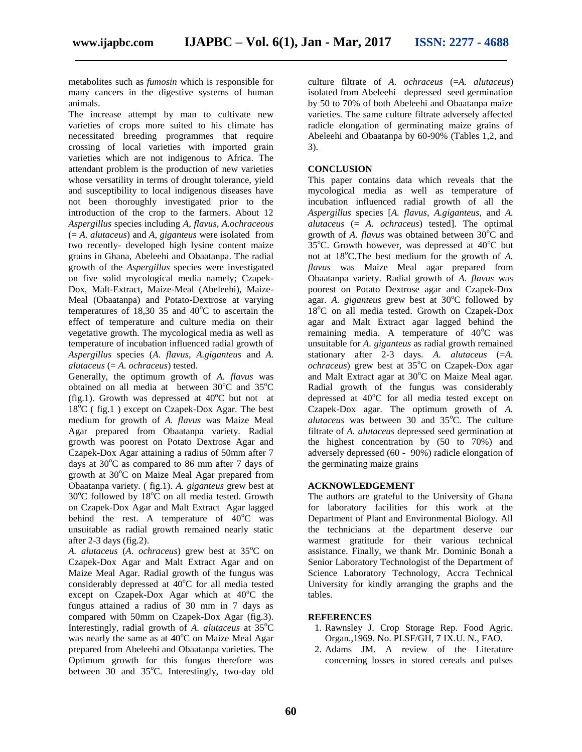metabolites such as *fumosin* which is responsible for many cancers in the digestive systems of human animals.

The increase attempt by man to cultivate new varieties of crops more suited to his climate has necessitated breeding programmes that require crossing of local varieties with imported grain varieties which are not indigenous to Africa. The attendant problem is the production of new varieties whose versatility in terms of drought tolerance, yield and susceptibility to local indigenous diseases have not been thoroughly investigated prior to the introduction of the crop to the farmers. About 12 *Aspergillus* species including *A, flavus, A.ochraceous* (= *A. alutaceus*) and *A, giganteus* were isolated from two recently- developed high lysine content maize grains in Ghana, Abeleehi and Obaatanpa. The radial growth of the *Aspergillus* species were investigated on five solid mycological media namely; Czapek-Dox, Malt-Extract, Maize-Meal (Abeleehi), Maize-Meal (Obaatanpa) and Potato-Dextrose at varying temperatures of 18,30 35 and  $40^{\circ}$ C to ascertain the effect of temperature and culture media on their vegetative growth. The mycological media as well as temperature of incubation influenced radial growth of *Aspergillus* species (*A. flavus, A.giganteus* and *A. alutaceus* (= *A. ochraceus*) tested.

Generally, the optimum growth of *A. flavus* was obtained on all media at between  $30^{\circ}$ C and  $35^{\circ}$ C (fig.1). Growth was depressed at  $40^{\circ}$ C but not at  $18^{\circ}$ C ( fig.1) except on Czapek-Dox Agar. The best medium for growth of *A. flavus* was Maize Meal Agar prepared from Obaatanpa variety. Radial growth was poorest on Potato Dextrose Agar and Czapek-Dox Agar attaining a radius of 50mm after 7 days at  $30^{\circ}$ C as compared to 86 mm after 7 days of growth at 30°C on Maize Meal Agar prepared from Obaatanpa variety. ( fig.1). *A. giganteus* grew best at  $30^{\circ}$ C followed by  $18^{\circ}$ C on all media tested. Growth on Czapek-Dox Agar and Malt Extract Agar lagged behind the rest. A temperature of  $40^{\circ}$ C was unsuitable as radial growth remained nearly static after 2-3 days (fig.2).

A. *alutaceus* (A. *ochraceus*) grew best at 35<sup>°</sup>C on Czapek-Dox Agar and Malt Extract Agar and on Maize Meal Agar. Radial growth of the fungus was considerably depressed at  $40^{\circ}$ C for all media tested except on Czapek-Dox Agar which at  $40^{\circ}$ C the fungus attained a radius of 30 mm in 7 days as compared with 50mm on Czapek-Dox Agar (fig.3). Interestingly, radial growth of *A. alutaceus* at 35°C was nearly the same as at  $40^{\circ}$ C on Maize Meal Agar prepared from Abeleehi and Obaatanpa varieties. The Optimum growth for this fungus therefore was between  $30$  and  $35^{\circ}$ C. Interestingly, two-day old

culture filtrate of *A. ochraceus* (=*A. alutaceus*) isolated from Abeleehi depressed seed germination by 50 to 70% of both Abeleehi and Obaatanpa maize varieties. The same culture filtrate adversely affected radicle elongation of germinating maize grains of Abeleehi and Obaatanpa by 60-90% (Tables 1,2, and 3).

## **CONCLUSION**

This paper contains data which reveals that the mycological media as well as temperature of incubation influenced radial growth of all the *Aspergillus* species [*A. flavus*, *A.giganteus*, and *A. alutaceus* (= *A. ochraceus*) tested]. The optimal growth of *A. flavus* was obtained between  $30^{\circ}$ C and  $35^{\circ}$ C. Growth however, was depressed at  $40^{\circ}$ C but not at 18<sup>°</sup>C. The best medium for the growth of *A*. *flavus* was Maize Meal agar prepared from Obaatanpa variety. Radial growth of *A. flavus* was poorest on Potato Dextrose agar and Czapek-Dox agar. *A. giganteus* grew best at 30<sup>o</sup>C followed by 18<sup>o</sup>C on all media tested. Growth on Czapek-Dox agar and Malt Extract agar lagged behind the remaining media. A temperature of  $40^{\circ}$ C was unsuitable for *A. giganteus* as radial growth remained stationary after 2-3 days. *A. alutaceus* (=A. *ochraceus*) grew best at 35<sup>°</sup>C on Czapek-Dox agar and Malt Extract agar at 30°C on Maize Meal agar. Radial growth of the fungus was considerably depressed at  $40^{\circ}$ C for all media tested except on Czapek-Dox agar. The optimum growth of *A. alutaceus* was between 30 and 35°C. The culture filtrate of *A. alutaceus* depressed seed germination at the highest concentration by (50 to 70%) and adversely depressed (60 - 90%) radicle elongation of the germinating maize grains

## **ACKNOWLEDGEMENT**

The authors are grateful to the University of Ghana for laboratory facilities for this work at the Department of Plant and Environmental Biology. All the technicians at the department deserve our warmest gratitude for their various technical assistance. Finally, we thank Mr. Dominic Bonah a Senior Laboratory Technologist of the Department of Science Laboratory Technology, Accra Technical University for kindly arranging the graphs and the tables.

## **REFERENCES**

- 1. Rawnsley J. Crop Storage Rep. Food Agric. Organ.,1969. No. PLSF/GH, 7 IX.U. N., FAO.
- 2. Adams JM. A review of the Literature concerning losses in stored cereals and pulses